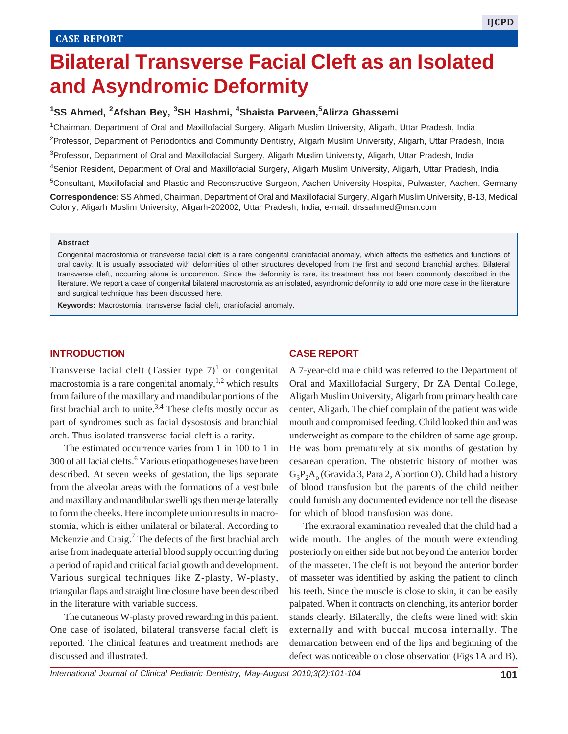# **Bilateral Transverse Facial Cleft as an Isolated and Asyndromic Deformity**

## **1 SS Ahmed, 2Afshan Bey, 3 SH Hashmi, <sup>4</sup> Shaista Parveen,<sup>5</sup> Alirza Ghassemi**

 Chairman, Department of Oral and Maxillofacial Surgery, Aligarh Muslim University, Aligarh, Uttar Pradesh, India Professor, Department of Periodontics and Community Dentistry, Aligarh Muslim University, Aligarh, Uttar Pradesh, India 3Professor, Department of Oral and Maxillofacial Surgery, Aligarh Muslim University, Aligarh, Uttar Pradesh, India Senior Resident, Department of Oral and Maxillofacial Surgery, Aligarh Muslim University, Aligarh, Uttar Pradesh, India

5Consultant, Maxillofacial and Plastic and Reconstructive Surgeon, Aachen University Hospital, Pulwaster, Aachen, Germany **Correspondence:** SS Ahmed, Chairman, Department of Oral and Maxillofacial Surgery, Aligarh Muslim University, B-13, Medical Colony, Aligarh Muslim University, Aligarh-202002, Uttar Pradesh, India, e-mail: drssahmed@msn.com

#### **Abstract**

Congenital macrostomia or transverse facial cleft is a rare congenital craniofacial anomaly, which affects the esthetics and functions of oral cavity. It is usually associated with deformities of other structures developed from the first and second branchial arches. Bilateral transverse cleft, occurring alone is uncommon. Since the deformity is rare, its treatment has not been commonly described in the literature. We report a case of congenital bilateral macrostomia as an isolated, asyndromic deformity to add one more case in the literature and surgical technique has been discussed here.

**Keywords:** Macrostomia, transverse facial cleft, craniofacial anomaly.

#### **INTRODUCTION**

Transverse facial cleft (Tassier type  $7)^1$  or congenital macrostomia is a rare congenital anomaly,  $1,2$  which results from failure of the maxillary and mandibular portions of the first brachial arch to unite. $3,4$  These clefts mostly occur as part of syndromes such as facial dysostosis and branchial arch. Thus isolated transverse facial cleft is a rarity.

The estimated occurrence varies from 1 in 100 to 1 in 300 of all facial clefts.<sup>6</sup> Various etiopathogeneses have been described. At seven weeks of gestation, the lips separate from the alveolar areas with the formations of a vestibule and maxillary and mandibular swellings then merge laterally to form the cheeks. Here incomplete union results in macrostomia, which is either unilateral or bilateral. According to Mckenzie and Craig.<sup>7</sup> The defects of the first brachial arch arise from inadequate arterial blood supply occurring during a period of rapid and critical facial growth and development. Various surgical techniques like Z-plasty, W-plasty, triangular flaps and straight line closure have been described in the literature with variable success.

The cutaneous W-plasty proved rewarding in this patient. One case of isolated, bilateral transverse facial cleft is reported. The clinical features and treatment methods are discussed and illustrated.

#### **CASE REPORT**

A 7-year-old male child was referred to the Department of Oral and Maxillofacial Surgery, Dr ZA Dental College, Aligarh Muslim University, Aligarh from primary health care center, Aligarh. The chief complain of the patient was wide mouth and compromised feeding. Child looked thin and was underweight as compare to the children of same age group. He was born prematurely at six months of gestation by cesarean operation. The obstetric history of mother was  $G_3P_2A_0$  (Gravida 3, Para 2, Abortion O). Child had a history of blood transfusion but the parents of the child neither could furnish any documented evidence nor tell the disease for which of blood transfusion was done.

The extraoral examination revealed that the child had a wide mouth. The angles of the mouth were extending posteriorly on either side but not beyond the anterior border of the masseter. The cleft is not beyond the anterior border of masseter was identified by asking the patient to clinch his teeth. Since the muscle is close to skin, it can be easily palpated. When it contracts on clenching, its anterior border stands clearly. Bilaterally, the clefts were lined with skin externally and with buccal mucosa internally. The demarcation between end of the lips and beginning of the defect was noticeable on close observation (Figs 1A and B).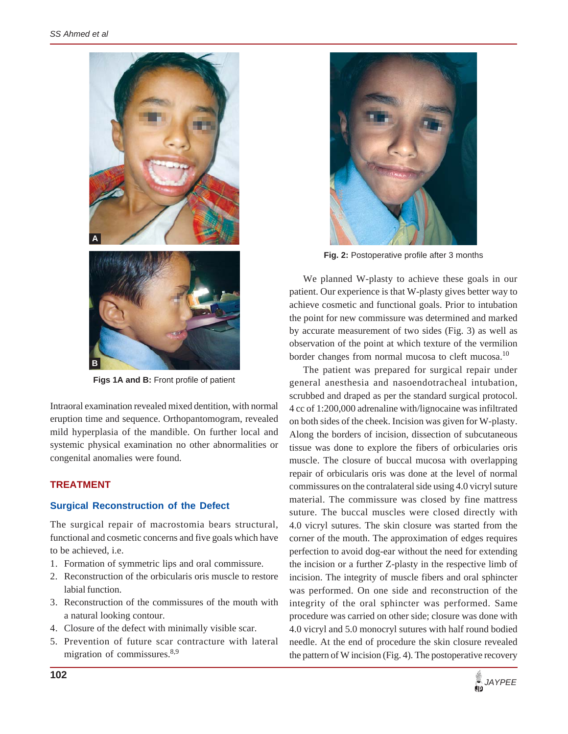

**Figs 1A and B:** Front profile of patient

Intraoral examination revealed mixed dentition, with normal eruption time and sequence. Orthopantomogram, revealed mild hyperplasia of the mandible. On further local and systemic physical examination no other abnormalities or congenital anomalies were found.

### **TREATMENT**

#### **Surgical Reconstruction of the Defect**

The surgical repair of macrostomia bears structural, functional and cosmetic concerns and five goals which have to be achieved, i.e.

- 1. Formation of symmetric lips and oral commissure.
- 2. Reconstruction of the orbicularis oris muscle to restore labial function.
- 3. Reconstruction of the commissures of the mouth with a natural looking contour.
- 4. Closure of the defect with minimally visible scar.
- 5. Prevention of future scar contracture with lateral migration of commissures.<sup>8,9</sup>



**Fig. 2:** Postoperative profile after 3 months

We planned W-plasty to achieve these goals in our patient. Our experience is that W-plasty gives better way to achieve cosmetic and functional goals. Prior to intubation the point for new commissure was determined and marked by accurate measurement of two sides (Fig. 3) as well as observation of the point at which texture of the vermilion border changes from normal mucosa to cleft mucosa.<sup>10</sup>

The patient was prepared for surgical repair under general anesthesia and nasoendotracheal intubation, scrubbed and draped as per the standard surgical protocol. 4 cc of 1:200,000 adrenaline with/lignocaine was infiltrated on both sides of the cheek. Incision was given for W-plasty. Along the borders of incision, dissection of subcutaneous tissue was done to explore the fibers of orbicularies oris muscle. The closure of buccal mucosa with overlapping repair of orbicularis oris was done at the level of normal commissures on the contralateral side using 4.0 vicryl suture material. The commissure was closed by fine mattress suture. The buccal muscles were closed directly with 4.0 vicryl sutures. The skin closure was started from the corner of the mouth. The approximation of edges requires perfection to avoid dog-ear without the need for extending the incision or a further Z-plasty in the respective limb of incision. The integrity of muscle fibers and oral sphincter was performed. On one side and reconstruction of the integrity of the oral sphincter was performed. Same procedure was carried on other side; closure was done with 4.0 vicryl and 5.0 monocryl sutures with half round bodied needle. At the end of procedure the skin closure revealed the pattern of W incision (Fig. 4). The postoperative recovery

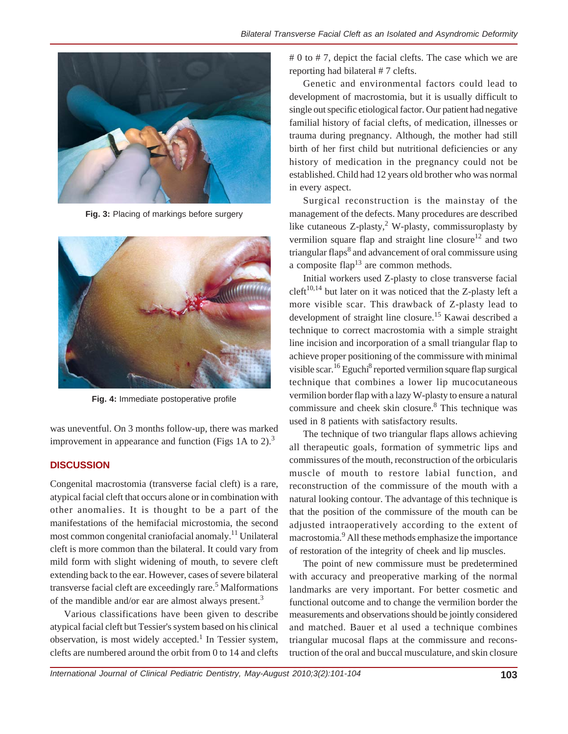

**Fig. 3:** Placing of markings before surgery



**Fig. 4:** Immediate postoperative profile

was uneventful. On 3 months follow-up, there was marked improvement in appearance and function (Figs 1A to 2).<sup>3</sup>

# **DISCUSSION**

Congenital macrostomia (transverse facial cleft) is a rare, atypical facial cleft that occurs alone or in combination with other anomalies. It is thought to be a part of the manifestations of the hemifacial microstomia, the second most common congenital craniofacial anomaly.11 Unilateral cleft is more common than the bilateral. It could vary from mild form with slight widening of mouth, to severe cleft extending back to the ear. However, cases of severe bilateral transverse facial cleft are exceedingly rare.<sup>5</sup> Malformations of the mandible and/or ear are almost always present.<sup>3</sup>

Various classifications have been given to describe atypical facial cleft but Tessier's system based on his clinical observation, is most widely accepted.<sup>1</sup> In Tessier system, clefts are numbered around the orbit from 0 to 14 and clefts

# 0 to # 7, depict the facial clefts. The case which we are reporting had bilateral # 7 clefts.

Genetic and environmental factors could lead to development of macrostomia, but it is usually difficult to single out specific etiological factor. Our patient had negative familial history of facial clefts, of medication, illnesses or trauma during pregnancy. Although, the mother had still birth of her first child but nutritional deficiencies or any history of medication in the pregnancy could not be established. Child had 12 years old brother who was normal in every aspect.

Surgical reconstruction is the mainstay of the management of the defects. Many procedures are described like cutaneous  $Z$ -plasty,<sup>2</sup> W-plasty, commissuroplasty by vermilion square flap and straight line closure<sup>12</sup> and two triangular flaps<sup>8</sup> and advancement of oral commissure using a composite flap<sup>13</sup> are common methods.

Initial workers used Z-plasty to close transverse facial  $cleft<sup>10,14</sup>$  but later on it was noticed that the Z-plasty left a more visible scar. This drawback of Z-plasty lead to development of straight line closure.<sup>15</sup> Kawai described a technique to correct macrostomia with a simple straight line incision and incorporation of a small triangular flap to achieve proper positioning of the commissure with minimal visible scar.<sup>16</sup> Eguchi<sup>8</sup> reported vermilion square flap surgical technique that combines a lower lip mucocutaneous vermilion border flap with a lazy W-plasty to ensure a natural commissure and cheek skin closure.<sup>8</sup> This technique was used in 8 patients with satisfactory results.

The technique of two triangular flaps allows achieving all therapeutic goals, formation of symmetric lips and commissures of the mouth, reconstruction of the orbicularis muscle of mouth to restore labial function, and reconstruction of the commissure of the mouth with a natural looking contour. The advantage of this technique is that the position of the commissure of the mouth can be adjusted intraoperatively according to the extent of macrostomia.<sup>9</sup> All these methods emphasize the importance of restoration of the integrity of cheek and lip muscles.

The point of new commissure must be predetermined with accuracy and preoperative marking of the normal landmarks are very important. For better cosmetic and functional outcome and to change the vermilion border the measurements and observations should be jointly considered and matched. Bauer et al used a technique combines triangular mucosal flaps at the commissure and reconstruction of the oral and buccal musculature, and skin closure